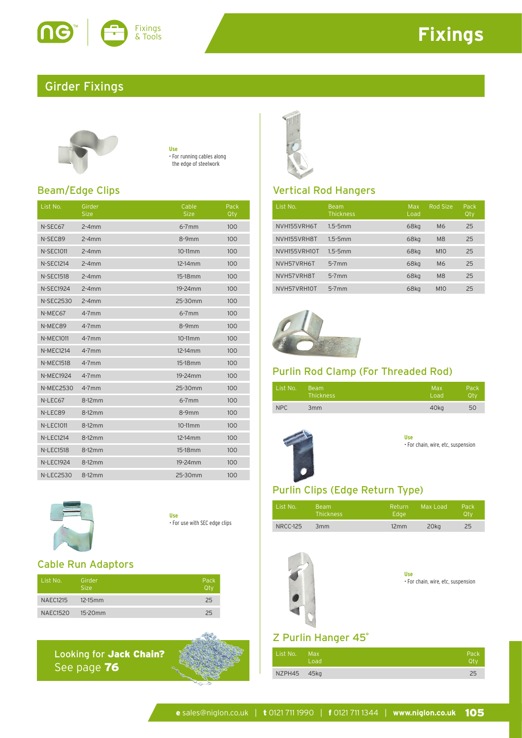

# **Fixings**

## Girder Fixings



**Use** • For running cables along the edge of steelwork

### Beam/Edge Clips

| List No.         | Girder<br><b>Size</b> | Cable<br><b>Size</b> | Pack<br>Qty |
|------------------|-----------------------|----------------------|-------------|
| N-SEC67          | $2 - 4$ mm            | $6 - 7$ mm           | 100         |
| N-SEC89          | $2 - 4$ mm            | $8-9mm$              | 100         |
| <b>N-SEC1011</b> | $2 - 4$ mm            | $10-11mm$            | 100         |
| <b>N-SEC1214</b> | $2 - 4$ mm            | 12-14mm              | 100         |
| <b>N-SEC1518</b> | $2 - 4$ mm            | 15-18 <sub>mm</sub>  | 100         |
| <b>N-SEC1924</b> | $2 - 4$ mm            | 19-24mm              | 100         |
| <b>N-SEC2530</b> | $2 - 4$ mm            | 25-30mm              | 100         |
| N-MEC67          | $4-7$ mm              | $6 - 7$ mm           | 100         |
| N-MEC89          | $4-7$ mm              | $8-9mm$              | 100         |
| <b>N-MEC1011</b> | $4-7$ mm              | 10-11mm              | 100         |
| <b>N-MEC1214</b> | $4-7$ mm              | 12-14mm              | 100         |
| <b>N-MEC1518</b> | $4-7$ mm              | 15-18 <sub>mm</sub>  | 100         |
| <b>N-MEC1924</b> | $4-7$ mm              | 19-24mm              | 100         |
| <b>N-MEC2530</b> | $4-7$ mm              | 25-30mm              | 100         |
| N-LEC67          | $8-12mm$              | $6-7$ mm             | 100         |
| N-LEC89          | 8-12mm                | $8-9mm$              | 100         |
| <b>N-LEC1011</b> | 8-12mm                | $10-11$ mm           | 100         |
| <b>N-LEC1214</b> | 8-12mm                | 12-14mm              | 100         |
| <b>N-LEC1518</b> | 8-12mm                | 15-18 <sub>mm</sub>  | 100         |
| <b>N-LEC1924</b> | 8-12mm                | 19-24mm              | 100         |
| <b>N-LEC2530</b> | 8-12mm                | 25-30mm              | 100         |



**Use** • For use with SEC edge clips

### Cable Run Adaptors

| List No.        | Girder<br>Size: | Pack<br>Ωtν |
|-----------------|-----------------|-------------|
| <b>NAEC1215</b> | $12-15$ mm      | 25          |
| <b>NAEC1520</b> | 15-20mm         | フら          |

Looking for Jack Chain? See page 76



### Vertical Rod Hangers

| List No.     | <b>Beam</b><br><b>Thickness</b> | Max<br>Load | Rod Size        | Pack<br>Qty |
|--------------|---------------------------------|-------------|-----------------|-------------|
| NVH155VRH6T  | $1.5 - 5$ mm                    | 68kg        | M6              | 25          |
| NVH155VRH8T  | $1.5 - 5$ mm                    | 68kg        | M <sub>8</sub>  | 25          |
| NVH155VRH10T | $1.5 - 5$ mm                    | 68kg        | M1O             | 25          |
| NVH57VRH6T   | $5-7$ mm                        | 68kg        | M6              | 25          |
| NVH57VRH8T   | $5-7$ mm                        | 68kg        | M <sub>8</sub>  | 25          |
| NVH57VRH10T  | $5-7mm$                         | 68kg        | M <sub>10</sub> | 25          |



### Purlin Rod Clamp (For Threaded Rod)

| List No.   | Beam             | Max              | Pack |
|------------|------------------|------------------|------|
|            | <b>Thickness</b> | Load             | Otv  |
| <b>NPC</b> | 3 <sub>mm</sub>  | 40 <sub>kg</sub> | 50   |





### Purlin Clips (Edge Return Type)

| List No. | Beam<br><b>Thickness</b> | Return<br>Edae | Max Load | Pack<br>Otv |
|----------|--------------------------|----------------|----------|-------------|
| NRCC-125 | 3mm                      | 12mm           | 20ka     | 25          |



| Use |  |                                    |  |
|-----|--|------------------------------------|--|
|     |  | · For chain, wire, etc, suspension |  |

### Z Purlin Hanger 45°

| List No.    | Max.<br>Load | Pack<br>Otv |
|-------------|--------------|-------------|
| NZPH45 45kg |              | 25          |